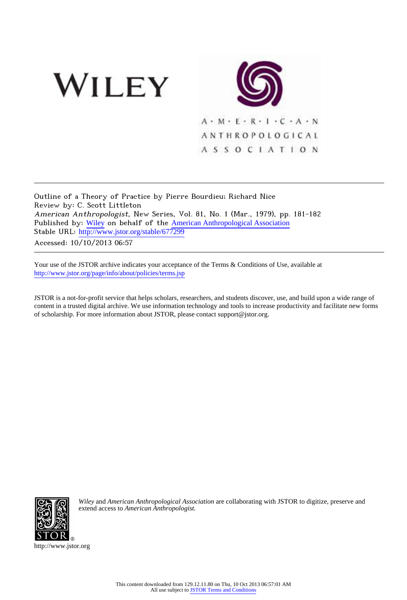



Outline of a Theory of Practice by Pierre Bourdieu; Richard Nice Review by: C. Scott Littleton American Anthropologist, New Series, Vol. 81, No. 1 (Mar., 1979), pp. 181-182 Published by: [Wiley](http://www.jstor.org/action/showPublisher?publisherCode=black) on behalf of the [American Anthropological Association](http://www.jstor.org/action/showPublisher?publisherCode=anthro) Stable URL: http://www.jstor.org/stable/677299

Accessed: 10/10/2013 06:57

Your use of the JSTOR archive indicates your acceptance of the Terms & Conditions of Use, available at <http://www.jstor.org/page/info/about/policies/terms.jsp>

JSTOR is a not-for-profit service that helps scholars, researchers, and students discover, use, and build upon a wide range of content in a trusted digital archive. We use information technology and tools to increase productivity and facilitate new forms of scholarship. For more information about JSTOR, please contact support@jstor.org.



*Wiley* and *American Anthropological Association* are collaborating with JSTOR to digitize, preserve and extend access to *American Anthropologist.*

http://www.jstor.org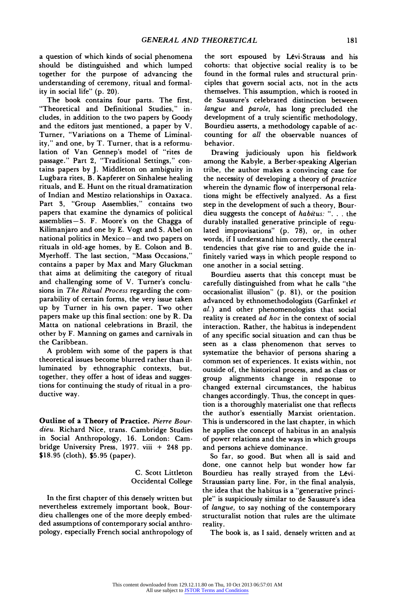**a question of which kinds of social phenomena should be distinguished and which lumped together for the purpose of advancing the understanding of ceremony, ritual and formality in social life" (p. 20).** 

**The book contains four parts. The first, "Theoretical and Definitional Studies," includes, in addition to the two papers by Goody and the editors just mentioned, a paper by V. Turner, "Variations on a Theme of Liminality," and one, by T. Turner, that is a reformulation of Van Gennep's model of "rites de passage." Part 2, "Traditional Settings," contains papers by J. Middleton on ambiguity in Lugbara rites, B. Kapferer on Sinhalese healing rituals, and E. Hunt on the ritual dramatization of Indian and Mestizo relationships in Oaxaca. Part 3, "Group Assemblies," contains two papers that examine the dynamics of political assemblies--S. F. Moore's on the Chagga of Kilimanjaro and one by E. Vogt and S. Abel on national politics in Mexico- and two papers on rituals in old-age homes, by E. Colson and B. Myerhoff. The last section, "Mass Occasions," contains a paper by Max and Mary Gluckman that aims at delimiting the category of ritual and challenging some of V. Turner's conclusions in The Ritual Process regarding the comparability of certain forms, the very issue taken up by Turner in his own paper. Two other papers make up this final section: one by R. Da Matta on national celebrations in Brazil, the other by F. Manning on games and carnivals in the Caribbean.** 

**A problem with some of the papers is that theoretical issues become blurred rather than illuminated by ethnographic contexts, but, together, they offer a host of ideas and suggestions for continuing the study of ritual in a productive way.** 

**Outline of a Theory of Practice. Pierre Bourdieu. Richard Nice, trans. Cambridge Studies in Social Anthropology, 16. London: Cambridge University Press, 1977. viii + 248 pp. \$18.95 (cloth), \$5.95 (paper).** 

> **C. Scott Littleton Occidental College**

**In the first chapter of this densely written but nevertheless extremely important book, Bourdieu challenges one of the more deeply embedded assumptions of contemporary social anthropology, especially French social anthropology of** 

**the sort espoused by Levi-Strauss and his cohorts: that objective social reality is to be found in the formal rules and structural principles that govern social acts, not in the acts themselves. This assumption, which is rooted in de Saussure's celebrated distinction between langue and parole, has long precluded the development of a truly scientific methodology, Bourdieu asserts, a methodology capable of accounting for all the observable nuances of behavior.** 

**Drawing judiciously upon his fieldwork among the Kabyle, a Berber-speaking Algerian tribe, the author makes a convincing case for the necessity of developing a theory of practice wherein the dynamic flow of interpersonal relations might be effectively analyzed. As a first step in the development of such a theory, Bourdieu suggests the concept of habitus: ". .. the durably installed generative principle of regulated improvisations" (p. 78), or, in other words, if I understand him correctly, the central tendencies that give rise to and guide the infinitely varied ways in which people respond to one another in a social setting.** 

**Bourdieu asserts that this concept must be carefully distinguished from what he calls "the occasionalist illusion" (p. 81), or the position advanced by ethnomethodologists (Garfinkel et al.) and other phenomenologists that social reality is created ad hoc in the context of social interaction. Rather, the habitus is independent of any specific social situation and can thus be seen as a class phenomenon that serves to systematize the behavior of persons sharing a common set of experiences. It exists within, not outside of, the historical process, and as class or group alignments change in response to changed external circumstances, the habitus changes accordingly. Thus, the concept in question is a thoroughly materialist one that reflects the author's essentially Marxist orientation. This is underscored in the last chapter, in which he applies the concept of habitus in an analysis of power relations and the ways in which groups and persons achieve dominance.** 

**So far, so good. But when all is said and done, one cannot help but wonder how far Bourdieu has really strayed from the Levi-Straussian party line. For, in the final analysis, the idea that the habitus is a "generative principle" is suspiciously similar to de Saussure's idea of langue, to say nothing of the contemporary structuralist notion that rules are the ultimate reality.** 

**The book is, as I said, densely written and at**